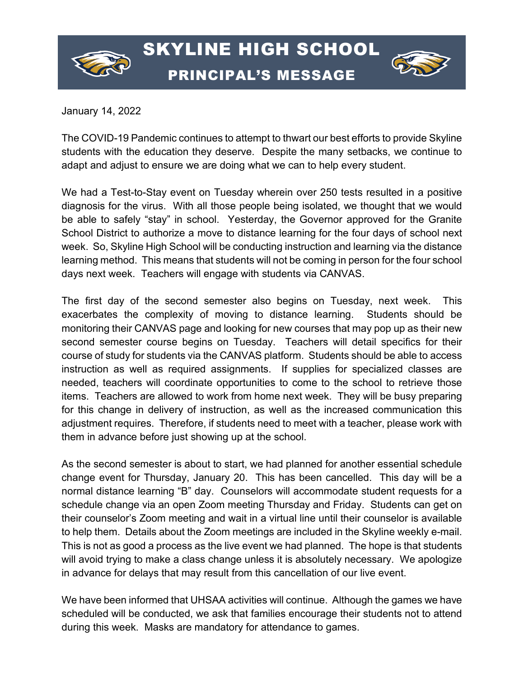



January 14, 2022

The COVID-19 Pandemic continues to attempt to thwart our best efforts to provide Skyline students with the education they deserve. Despite the many setbacks, we continue to adapt and adjust to ensure we are doing what we can to help every student.

We had a Test-to-Stay event on Tuesday wherein over 250 tests resulted in a positive diagnosis for the virus. With all those people being isolated, we thought that we would be able to safely "stay" in school. Yesterday, the Governor approved for the Granite School District to authorize a move to distance learning for the four days of school next week. So, Skyline High School will be conducting instruction and learning via the distance learning method. This means that students will not be coming in person for the four school days next week. Teachers will engage with students via CANVAS.

The first day of the second semester also begins on Tuesday, next week. This exacerbates the complexity of moving to distance learning. Students should be monitoring their CANVAS page and looking for new courses that may pop up as their new second semester course begins on Tuesday. Teachers will detail specifics for their course of study for students via the CANVAS platform. Students should be able to access instruction as well as required assignments. If supplies for specialized classes are needed, teachers will coordinate opportunities to come to the school to retrieve those items. Teachers are allowed to work from home next week. They will be busy preparing for this change in delivery of instruction, as well as the increased communication this adjustment requires. Therefore, if students need to meet with a teacher, please work with them in advance before just showing up at the school.

As the second semester is about to start, we had planned for another essential schedule change event for Thursday, January 20. This has been cancelled. This day will be a normal distance learning "B" day. Counselors will accommodate student requests for a schedule change via an open Zoom meeting Thursday and Friday. Students can get on their counselor's Zoom meeting and wait in a virtual line until their counselor is available to help them. Details about the Zoom meetings are included in the Skyline weekly e-mail. This is not as good a process as the live event we had planned. The hope is that students will avoid trying to make a class change unless it is absolutely necessary. We apologize in advance for delays that may result from this cancellation of our live event.

We have been informed that UHSAA activities will continue. Although the games we have scheduled will be conducted, we ask that families encourage their students not to attend during this week. Masks are mandatory for attendance to games.